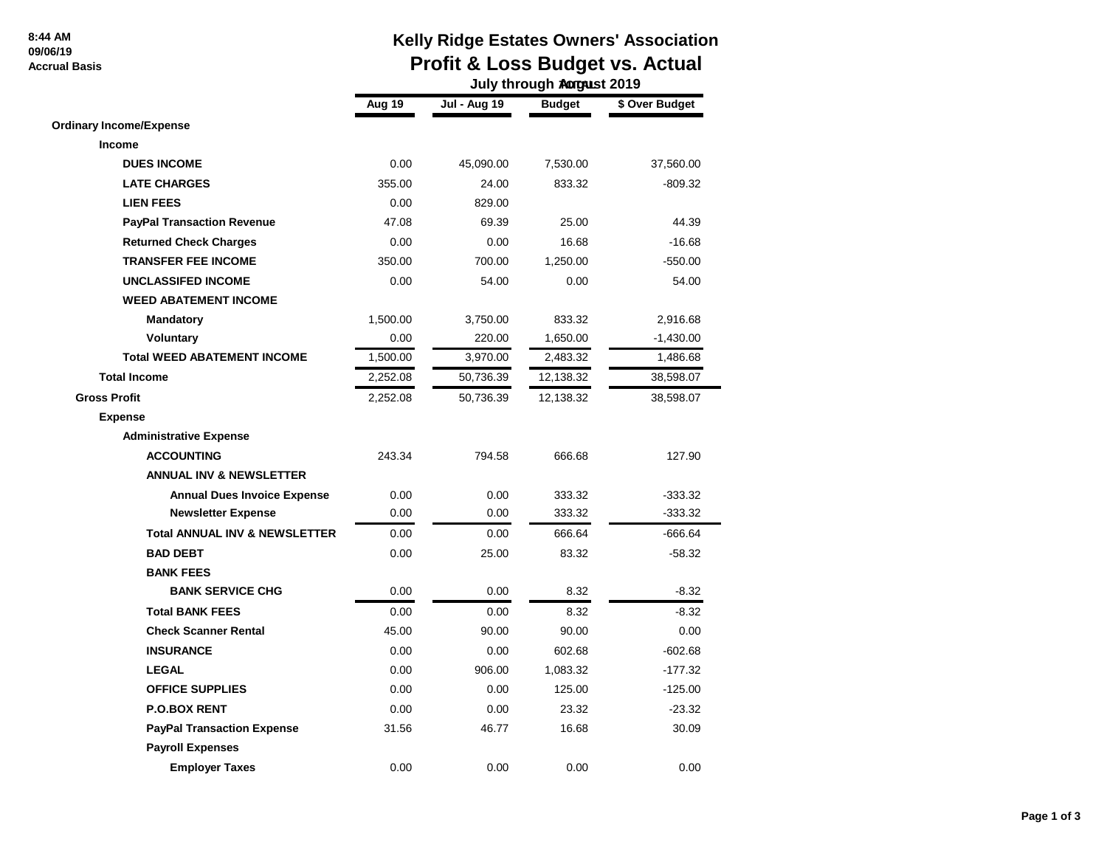#### **8:44 AM 09/06/19 Accrual Basis**

# **Kelly Ridge Estates Owners' Association Profit & Loss Budget vs. Actual**

|                                          | July through <b>Autgust 2019</b> |                     |               |                |
|------------------------------------------|----------------------------------|---------------------|---------------|----------------|
|                                          | Aug 19                           | <b>Jul - Aug 19</b> | <b>Budget</b> | \$ Over Budget |
| <b>Ordinary Income/Expense</b>           |                                  |                     |               |                |
| Income                                   |                                  |                     |               |                |
| <b>DUES INCOME</b>                       | 0.00                             | 45,090.00           | 7,530.00      | 37,560.00      |
| <b>LATE CHARGES</b>                      | 355.00                           | 24.00               | 833.32        | $-809.32$      |
| <b>LIEN FEES</b>                         | 0.00                             | 829.00              |               |                |
| <b>PayPal Transaction Revenue</b>        | 47.08                            | 69.39               | 25.00         | 44.39          |
| <b>Returned Check Charges</b>            | 0.00                             | 0.00                | 16.68         | $-16.68$       |
| <b>TRANSFER FEE INCOME</b>               | 350.00                           | 700.00              | 1,250.00      | $-550.00$      |
| <b>UNCLASSIFED INCOME</b>                | 0.00                             | 54.00               | 0.00          | 54.00          |
| <b>WEED ABATEMENT INCOME</b>             |                                  |                     |               |                |
| <b>Mandatory</b>                         | 1,500.00                         | 3,750.00            | 833.32        | 2,916.68       |
| Voluntary                                | 0.00                             | 220.00              | 1,650.00      | $-1,430.00$    |
| <b>Total WEED ABATEMENT INCOME</b>       | 1,500.00                         | 3,970.00            | 2,483.32      | 1,486.68       |
| <b>Total Income</b>                      | 2,252.08                         | 50,736.39           | 12,138.32     | 38,598.07      |
| <b>Gross Profit</b>                      | 2,252.08                         | 50,736.39           | 12,138.32     | 38,598.07      |
| <b>Expense</b>                           |                                  |                     |               |                |
| <b>Administrative Expense</b>            |                                  |                     |               |                |
| <b>ACCOUNTING</b>                        | 243.34                           | 794.58              | 666.68        | 127.90         |
| <b>ANNUAL INV &amp; NEWSLETTER</b>       |                                  |                     |               |                |
| <b>Annual Dues Invoice Expense</b>       | 0.00                             | 0.00                | 333.32        | $-333.32$      |
| <b>Newsletter Expense</b>                | 0.00                             | 0.00                | 333.32        | $-333.32$      |
| <b>Total ANNUAL INV &amp; NEWSLETTER</b> | 0.00                             | 0.00                | 666.64        | $-666.64$      |
| <b>BAD DEBT</b>                          | 0.00                             | 25.00               | 83.32         | $-58.32$       |
| <b>BANK FEES</b>                         |                                  |                     |               |                |
| <b>BANK SERVICE CHG</b>                  | 0.00                             | 0.00                | 8.32          | $-8.32$        |
| <b>Total BANK FEES</b>                   | 0.00                             | 0.00                | 8.32          | $-8.32$        |
| <b>Check Scanner Rental</b>              | 45.00                            | 90.00               | 90.00         | 0.00           |
| <b>INSURANCE</b>                         | 0.00                             | 0.00                | 602.68        | $-602.68$      |
| <b>LEGAL</b>                             | 0.00                             | 906.00              | 1,083.32      | $-177.32$      |
| <b>OFFICE SUPPLIES</b>                   | 0.00                             | 0.00                | 125.00        | $-125.00$      |
| <b>P.O.BOX RENT</b>                      | 0.00                             | 0.00                | 23.32         | $-23.32$       |
| <b>PayPal Transaction Expense</b>        | 31.56                            | 46.77               | 16.68         | 30.09          |
| <b>Payroll Expenses</b>                  |                                  |                     |               |                |
| <b>Employer Taxes</b>                    | 0.00                             | 0.00                | 0.00          | 0.00           |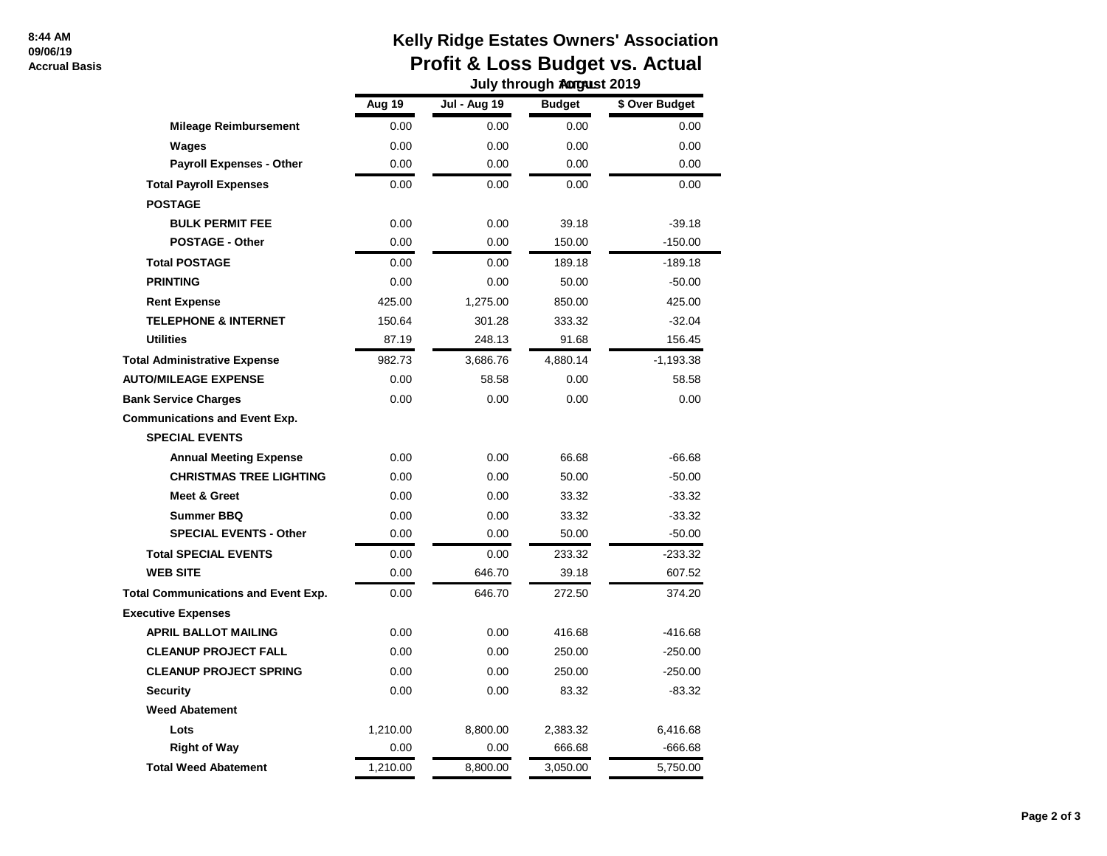#### **8:44 AM 09/06/19 Accrual Basis**

## **Kelly Ridge Estates Owners' Association Profit & Loss Budget vs. Actual July through Appearst 2019**

|                                            | งนาง แก่งนิษูก พันธุ์นอเ 2013 |                     |               |                |  |
|--------------------------------------------|-------------------------------|---------------------|---------------|----------------|--|
|                                            | Aug $19$                      | <b>Jul - Aug 19</b> | <b>Budget</b> | \$ Over Budget |  |
| <b>Mileage Reimbursement</b>               | 0.00                          | 0.00                | 0.00          | 0.00           |  |
| Wages                                      | 0.00                          | 0.00                | 0.00          | 0.00           |  |
| <b>Payroll Expenses - Other</b>            | 0.00                          | 0.00                | 0.00          | 0.00           |  |
| <b>Total Payroll Expenses</b>              | 0.00                          | 0.00                | 0.00          | 0.00           |  |
| <b>POSTAGE</b>                             |                               |                     |               |                |  |
| <b>BULK PERMIT FEE</b>                     | 0.00                          | 0.00                | 39.18         | $-39.18$       |  |
| <b>POSTAGE - Other</b>                     | 0.00                          | 0.00                | 150.00        | $-150.00$      |  |
| <b>Total POSTAGE</b>                       | 0.00                          | 0.00                | 189.18        | $-189.18$      |  |
| <b>PRINTING</b>                            | 0.00                          | 0.00                | 50.00         | $-50.00$       |  |
| <b>Rent Expense</b>                        | 425.00                        | 1,275.00            | 850.00        | 425.00         |  |
| <b>TELEPHONE &amp; INTERNET</b>            | 150.64                        | 301.28              | 333.32        | $-32.04$       |  |
| <b>Utilities</b>                           | 87.19                         | 248.13              | 91.68         | 156.45         |  |
| <b>Total Administrative Expense</b>        | 982.73                        | 3,686.76            | 4,880.14      | $-1,193.38$    |  |
| <b>AUTO/MILEAGE EXPENSE</b>                | 0.00                          | 58.58               | 0.00          | 58.58          |  |
| <b>Bank Service Charges</b>                | 0.00                          | 0.00                | 0.00          | 0.00           |  |
| <b>Communications and Event Exp.</b>       |                               |                     |               |                |  |
| <b>SPECIAL EVENTS</b>                      |                               |                     |               |                |  |
| <b>Annual Meeting Expense</b>              | 0.00                          | 0.00                | 66.68         | -66.68         |  |
| <b>CHRISTMAS TREE LIGHTING</b>             | 0.00                          | 0.00                | 50.00         | $-50.00$       |  |
| <b>Meet &amp; Greet</b>                    | 0.00                          | 0.00                | 33.32         | $-33.32$       |  |
| <b>Summer BBQ</b>                          | 0.00                          | 0.00                | 33.32         | $-33.32$       |  |
| <b>SPECIAL EVENTS - Other</b>              | 0.00                          | 0.00                | 50.00         | $-50.00$       |  |
| <b>Total SPECIAL EVENTS</b>                | 0.00                          | 0.00                | 233.32        | $-233.32$      |  |
| <b>WEB SITE</b>                            | 0.00                          | 646.70              | 39.18         | 607.52         |  |
| <b>Total Communications and Event Exp.</b> | 0.00                          | 646.70              | 272.50        | 374.20         |  |
| <b>Executive Expenses</b>                  |                               |                     |               |                |  |
| <b>APRIL BALLOT MAILING</b>                | 0.00                          | 0.00                | 416.68        | $-416.68$      |  |
| <b>CLEANUP PROJECT FALL</b>                | 0.00                          | 0.00                | 250.00        | $-250.00$      |  |
| <b>CLEANUP PROJECT SPRING</b>              | 0.00                          | 0.00                | 250.00        | $-250.00$      |  |
| <b>Security</b>                            | 0.00                          | 0.00                | 83.32         | $-83.32$       |  |
| <b>Weed Abatement</b>                      |                               |                     |               |                |  |
| Lots                                       | 1,210.00                      | 8,800.00            | 2,383.32      | 6,416.68       |  |
| <b>Right of Way</b>                        | 0.00                          | 0.00                | 666.68        | $-666.68$      |  |
| <b>Total Weed Abatement</b>                | 1,210.00                      | 8,800.00            | 3,050.00      | 5,750.00       |  |